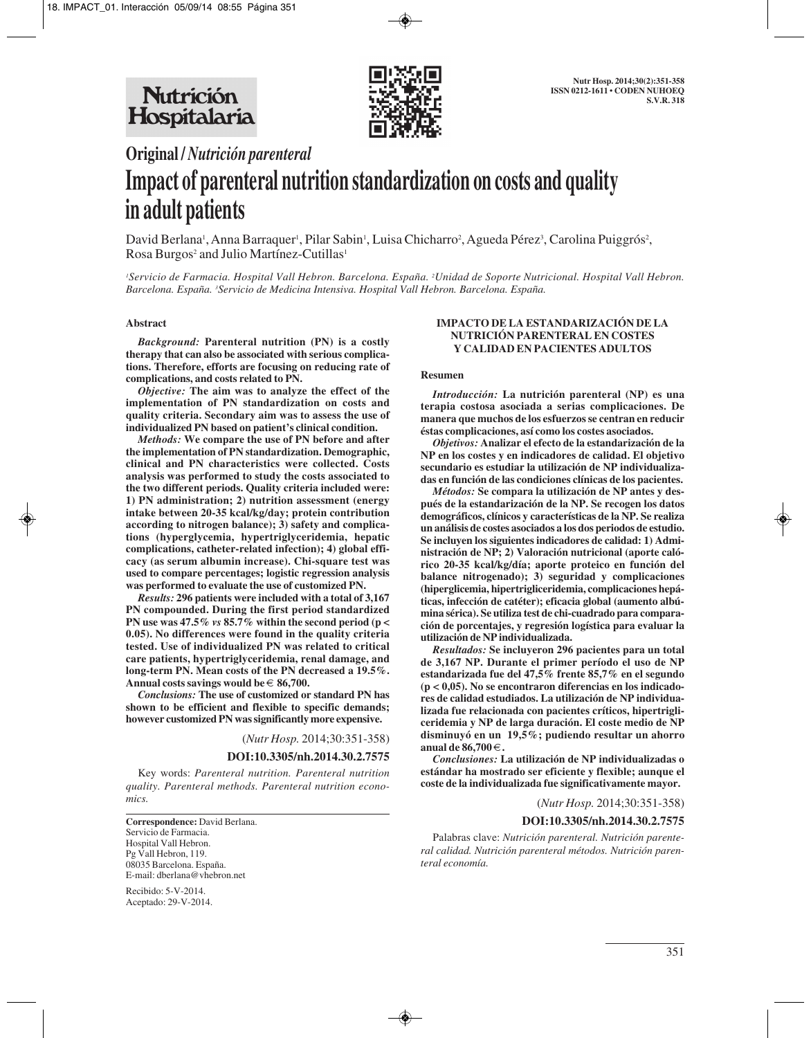

# **Original /** *Nutrición parenteral* **Impact of parenteral nutrition standardization on costs and quality in adult patients**

David Berlana<sup>1</sup>, Anna Barraquer<sup>1</sup>, Pilar Sabin<sup>1</sup>, Luisa Chicharro<sup>2</sup>, Agueda Pérez<sup>3</sup>, Carolina Puiggrós<sup>2</sup>, Rosa Burgos<sup>2</sup> and Julio Martínez-Cutillas<sup>1</sup>

*1 Servicio de Farmacia. Hospital Vall Hebron. Barcelona. España. 2 Unidad de Soporte Nutricional. Hospital Vall Hebron. Barcelona. España. 3 Servicio de Medicina Intensiva. Hospital Vall Hebron. Barcelona. España.*

#### **Abstract**

*Background:* **Parenteral nutrition (PN) is a costly therapy that can also be associated with serious complications. Therefore, efforts are focusing on reducing rate of complications, and costs related to PN.**

*Objective:* **The aim was to analyze the effect of the implementation of PN standardization on costs and quality criteria. Secondary aim was to assess the use of individualized PN based on patient's clinical condition.**

*Methods:* **We compare the use of PN before and after the implementation of PN standardization. Demographic, clinical and PN characteristics were collected. Costs analysis was performed to study the costs associated to the two different periods. Quality criteria included were: 1) PN administration; 2) nutrition assessment (energy intake between 20-35 kcal/kg/day; protein contribution according to nitrogen balance); 3) safety and complications (hyperglycemia, hypertriglyceridemia, hepatic complications, catheter-related infection); 4) global efficacy (as serum albumin increase). Chi-square test was used to compare percentages; logistic regression analysis was performed to evaluate the use of customized PN.** 

*Results:* **296 patients were included with a total of 3,167 PN compounded. During the first period standardized PN use was 47.5%** *vs* **85.7% within the second period (p < 0.05). No differences were found in the quality criteria tested. Use of individualized PN was related to critical care patients, hypertriglyceridemia, renal damage, and long-term PN. Mean costs of the PN decreased a 19.5%. Annual costs savings would be** € **86,700.**

*Conclusions:* **The use of customized or standard PN has shown to be efficient and flexible to specific demands; however customized PN was significantly more expensive.**

(*Nutr Hosp.* 2014;30:351-358)

#### **DOI:10.3305/nh.2014.30.2.7575**

Key words: *Parenteral nutrition. Parenteral nutrition quality. Parenteral methods. Parenteral nutrition economics.*

**Correspondence:** David Berlana. Servicio de Farmacia. Hospital Vall Hebron. Pg Vall Hebron, 119. 08035 Barcelona. España. E-mail: dberlana@vhebron.net

Recibido: 5-V-2014. Aceptado: 29-V-2014.

## **IMPACTO DE LA ESTANDARIZACIÓN DE LA NUTRICIÓN PARENTERAL EN COSTES Y CALIDAD EN PACIENTES ADULTOS**

#### **Resumen**

*Introducción:* **La nutrición parenteral (NP) es una terapia costosa asociada a serias complicaciones. De manera que muchos de los esfuerzos se centran en reducir éstas complicaciones, así como los costes asociados.** 

*Objetivos:* **Analizar el efecto de la estandarización de la NP en los costes y en indicadores de calidad. El objetivo secundario es estudiar la utilización de NP individualizadas en función de las condiciones clínicas de los pacientes.**

*Métodos:* **Se compara la utilización de NP antes y después de la estandarización de la NP. Se recogen los datos demográficos, clínicos y características de la NP. Se realiza un análisis de costes asociados a los dos periodos de estudio. Se incluyen los siguientes indicadores de calidad: 1) Administración de NP; 2) Valoración nutricional (aporte calórico 20-35 kcal/kg/día; aporte proteico en función del balance nitrogenado); 3) seguridad y complicaciones (hiperglicemia, hipertrigliceridemia, complicaciones hepáticas, infección de catéter); eficacia global (aumento albúmina sérica). Se utiliza test de chi-cuadrado para comparación de porcentajes, y regresión logística para evaluar la utilización de NP individualizada.** 

*Resultados:* **Se incluyeron 296 pacientes para un total de 3,167 NP. Durante el primer período el uso de NP estandarizada fue del 47,5% frente 85,7% en el segundo (p < 0,05). No se encontraron diferencias en los indicadores de calidad estudiados. La utilización de NP individualizada fue relacionada con pacientes críticos, hipertrigliceridemia y NP de larga duración. El coste medio de NP disminuyó en un 19,5%; pudiendo resultar un ahorro anual de 86,700** €**.**

*Conclusiones:* **La utilización de NP individualizadas o estándar ha mostrado ser eficiente y flexible; aunque el coste de la individualizada fue significativamente mayor.**

(*Nutr Hosp.* 2014;30:351-358)

#### **DOI:10.3305/nh.2014.30.2.7575**

Palabras clave: *Nutrición parenteral. Nutrición parenteral calidad. Nutrición parenteral métodos. Nutrición parenteral economía.*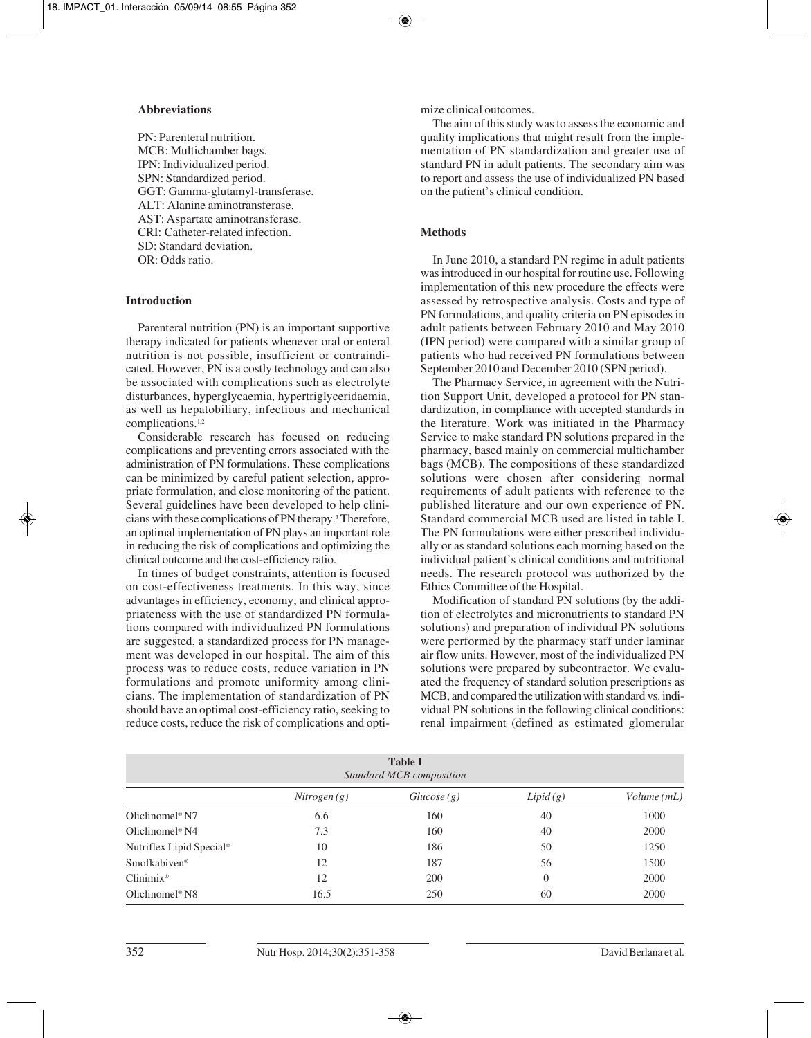### **Abbreviations**

PN: Parenteral nutrition. MCB: Multichamber bags. IPN: Individualized period. SPN: Standardized period. GGT: Gamma-glutamyl-transferase. ALT: Alanine aminotransferase. AST: Aspartate aminotransferase. CRI: Catheter-related infection. SD: Standard deviation. OR: Odds ratio.

## **Introduction**

Parenteral nutrition (PN) is an important supportive therapy indicated for patients whenever oral or enteral nutrition is not possible, insufficient or contraindicated. However, PN is a costly technology and can also be associated with complications such as electrolyte disturbances, hyperglycaemia, hypertriglyceridaemia, as well as hepatobiliary, infectious and mechanical complications.1,2

Considerable research has focused on reducing complications and preventing errors associated with the administration of PN formulations. These complications can be minimized by careful patient selection, appropriate formulation, and close monitoring of the patient. Several guidelines have been developed to help clinicians with these complications of PN therapy.3 Therefore, an optimal implementation of PN plays an important role in reducing the risk of complications and optimizing the clinical outcome and the cost-efficiency ratio.

In times of budget constraints, attention is focused on cost-effectiveness treatments. In this way, since advantages in efficiency, economy, and clinical appropriateness with the use of standardized PN formulations compared with individualized PN formulations are suggested, a standardized process for PN management was developed in our hospital. The aim of this process was to reduce costs, reduce variation in PN formulations and promote uniformity among clinicians. The implementation of standardization of PN should have an optimal cost-efficiency ratio, seeking to reduce costs, reduce the risk of complications and optimize clinical outcomes.

The aim of this study was to assess the economic and quality implications that might result from the implementation of PN standardization and greater use of standard PN in adult patients. The secondary aim was to report and assess the use of individualized PN based on the patient's clinical condition.

# **Methods**

In June 2010, a standard PN regime in adult patients was introduced in our hospital for routine use. Following implementation of this new procedure the effects were assessed by retrospective analysis. Costs and type of PN formulations, and quality criteria on PN episodes in adult patients between February 2010 and May 2010 (IPN period) were compared with a similar group of patients who had received PN formulations between September 2010 and December 2010 (SPN period).

The Pharmacy Service, in agreement with the Nutrition Support Unit, developed a protocol for PN standardization, in compliance with accepted standards in the literature. Work was initiated in the Pharmacy Service to make standard PN solutions prepared in the pharmacy, based mainly on commercial multichamber bags (MCB). The compositions of these standardized solutions were chosen after considering normal requirements of adult patients with reference to the published literature and our own experience of PN. Standard commercial MCB used are listed in table I. The PN formulations were either prescribed individually or as standard solutions each morning based on the individual patient's clinical conditions and nutritional needs. The research protocol was authorized by the Ethics Committee of the Hospital.

Modification of standard PN solutions (by the addition of electrolytes and micronutrients to standard PN solutions) and preparation of individual PN solutions were performed by the pharmacy staff under laminar air flow units. However, most of the individualized PN solutions were prepared by subcontractor. We evaluated the frequency of standard solution prescriptions as MCB, and compared the utilization with standard vs. individual PN solutions in the following clinical conditions: renal impairment (defined as estimated glomerular

| <b>Table I</b><br>Standard MCB composition |             |            |          |            |  |
|--------------------------------------------|-------------|------------|----------|------------|--|
|                                            | Nitrogen(g) | Glucose(g) | Lipid(g) | Volume(mL) |  |
| Oliclinomel <sup>®</sup> N7                | 6.6         | 160        | 40       | 1000       |  |
| Oliclinomel <sup>®</sup> N4                | 7.3         | 160        | 40       | 2000       |  |
| Nutriflex Lipid Special <sup>®</sup>       | 10          | 186        | 50       | 1250       |  |
| Smofkabiven <sup>®</sup>                   | 12          | 187        | 56       | 1500       |  |
| $Clinimix^*$                               | 12          | 200        | $\theta$ | 2000       |  |
| Oliclinomel <sup>®</sup> N8                | 16.5        | 250        | 60       | 2000       |  |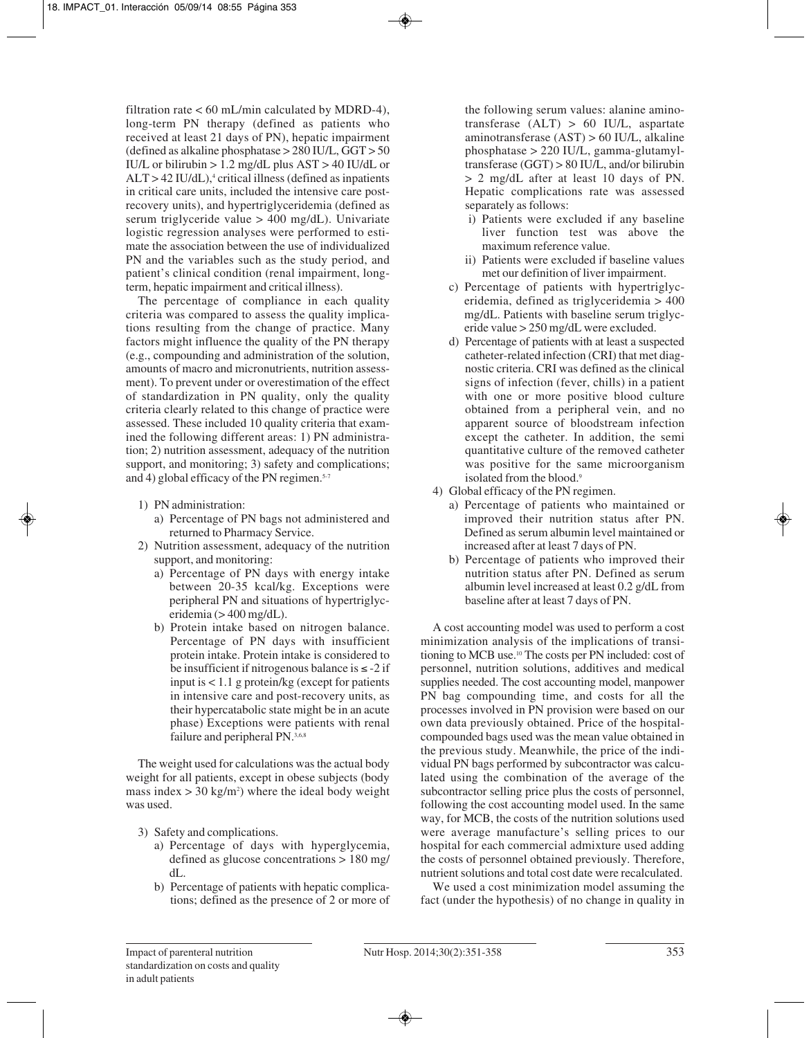filtration rate  $< 60$  mL/min calculated by MDRD-4), long-term PN therapy (defined as patients who received at least 21 days of PN), hepatic impairment (defined as alkaline phosphatase > 280 IU/L, GGT > 50 IU/L or bilirubin  $> 1.2$  mg/dL plus AST  $> 40$  IU/dL or  $ALT > 42$  IU/dL),<sup>4</sup> critical illness (defined as inpatients in critical care units, included the intensive care postrecovery units), and hypertriglyceridemia (defined as serum triglyceride value > 400 mg/dL). Univariate logistic regression analyses were performed to estimate the association between the use of individualized PN and the variables such as the study period, and patient's clinical condition (renal impairment, longterm, hepatic impairment and critical illness).

The percentage of compliance in each quality criteria was compared to assess the quality implications resulting from the change of practice. Many factors might influence the quality of the PN therapy (e.g., compounding and administration of the solution, amounts of macro and micronutrients, nutrition assessment). To prevent under or overestimation of the effect of standardization in PN quality, only the quality criteria clearly related to this change of practice were assessed. These included 10 quality criteria that examined the following different areas: 1) PN administration; 2) nutrition assessment, adequacy of the nutrition support, and monitoring; 3) safety and complications; and 4) global efficacy of the PN regimen.<sup>5-7</sup>

- 1) PN administration:
	- a) Percentage of PN bags not administered and returned to Pharmacy Service.
- 2) Nutrition assessment, adequacy of the nutrition support, and monitoring:
	- a) Percentage of PN days with energy intake between 20-35 kcal/kg. Exceptions were peripheral PN and situations of hypertriglyceridemia (> 400 mg/dL).
	- b) Protein intake based on nitrogen balance. Percentage of PN days with insufficient protein intake. Protein intake is considered to be insufficient if nitrogenous balance is  $\le$  -2 if input is < 1.1 g protein/kg (except for patients in intensive care and post-recovery units, as their hypercatabolic state might be in an acute phase) Exceptions were patients with renal failure and peripheral PN.3,6,8

The weight used for calculations was the actual body weight for all patients, except in obese subjects (body mass index  $>$  30 kg/m<sup>2</sup>) where the ideal body weight was used.

- 3) Safety and complications.
	- a) Percentage of days with hyperglycemia, defined as glucose concentrations > 180 mg/ dL.
	- b) Percentage of patients with hepatic complications; defined as the presence of 2 or more of

the following serum values: alanine aminotransferase (ALT) > 60 IU/L, aspartate aminotransferase (AST) > 60 IU/L, alkaline phosphatase > 220 IU/L, gamma-glutamyltransferase (GGT) > 80 IU/L, and/or bilirubin > 2 mg/dL after at least 10 days of PN. Hepatic complications rate was assessed separately as follows:

- i) Patients were excluded if any baseline liver function test was above the maximum reference value.
- ii) Patients were excluded if baseline values met our definition of liver impairment.
- 1) c) Percentage of patients with hypertriglyceridemia, defined as triglyceridemia > 400 mg/dL. Patients with baseline serum triglyceride value > 250 mg/dL were excluded.
- 1) d) Percentage of patients with at least a suspected catheter-related infection (CRI) that met diagnostic criteria. CRI was defined as the clinical signs of infection (fever, chills) in a patient with one or more positive blood culture obtained from a peripheral vein, and no apparent source of bloodstream infection except the catheter. In addition, the semi quantitative culture of the removed catheter was positive for the same microorganism isolated from the blood.<sup>9</sup>
- 4) Global efficacy of the PN regimen.
	- a) Percentage of patients who maintained or improved their nutrition status after PN. Defined as serum albumin level maintained or increased after at least 7 days of PN.
	- b) Percentage of patients who improved their nutrition status after PN. Defined as serum albumin level increased at least 0.2 g/dL from baseline after at least 7 days of PN.

A cost accounting model was used to perform a cost minimization analysis of the implications of transitioning to MCB use.10 The costs per PN included: cost of personnel, nutrition solutions, additives and medical supplies needed. The cost accounting model, manpower PN bag compounding time, and costs for all the processes involved in PN provision were based on our own data previously obtained. Price of the hospitalcompounded bags used was the mean value obtained in the previous study. Meanwhile, the price of the individual PN bags performed by subcontractor was calculated using the combination of the average of the subcontractor selling price plus the costs of personnel, following the cost accounting model used. In the same way, for MCB, the costs of the nutrition solutions used were average manufacture's selling prices to our hospital for each commercial admixture used adding the costs of personnel obtained previously. Therefore, nutrient solutions and total cost date were recalculated.

We used a cost minimization model assuming the fact (under the hypothesis) of no change in quality in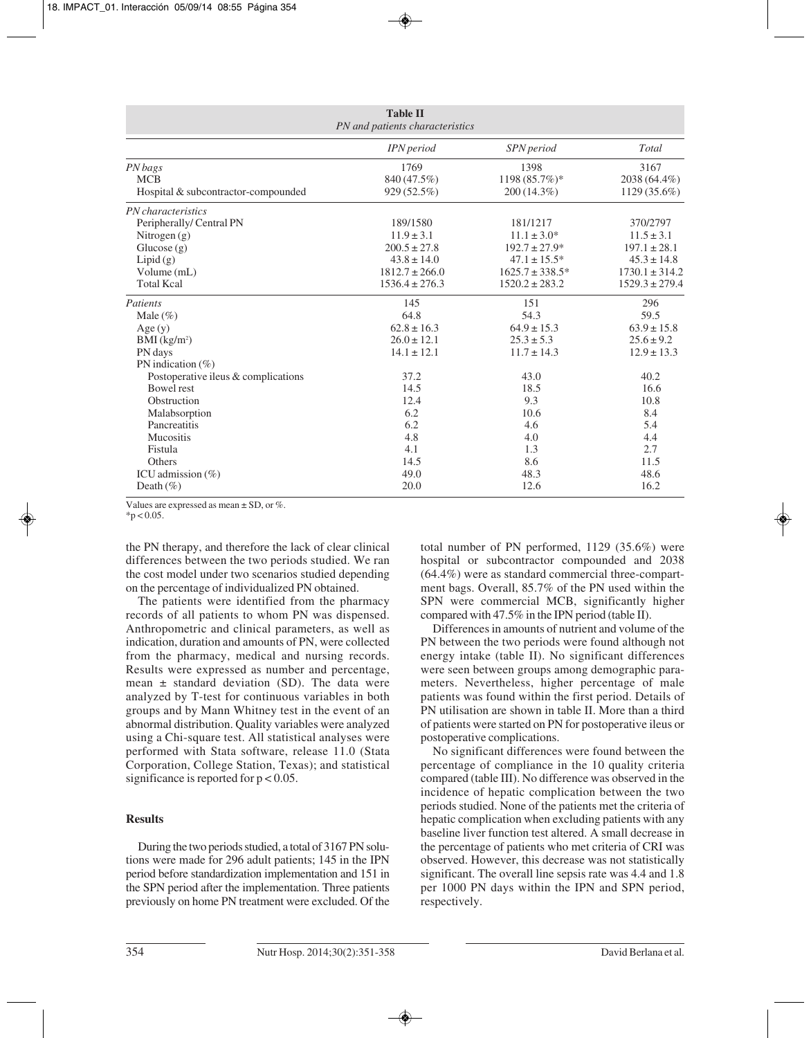|                                     | <b>Table II</b><br>PN and patients characteristics |                      |                    |
|-------------------------------------|----------------------------------------------------|----------------------|--------------------|
|                                     | <b>IPN</b> period                                  | SPN period           | Total              |
| PN bags                             | 1769                                               | 1398                 | 3167               |
| <b>MCB</b>                          | 840 (47.5%)                                        | 1198 (85.7%)*        | 2038 (64.4%)       |
| Hospital & subcontractor-compounded | 929(52.5%)                                         | 200 (14.3%)          | 1129 (35.6%)       |
| PN characteristics                  |                                                    |                      |                    |
| Peripherally/Central PN             | 189/1580                                           | 181/1217             | 370/2797           |
| Nitrogen (g)                        | $11.9 \pm 3.1$                                     | $11.1 \pm 3.0^*$     | $11.5 \pm 3.1$     |
| Glucose $(g)$                       | $200.5 \pm 27.8$                                   | $192.7 \pm 27.9*$    | $197.1 \pm 28.1$   |
| Lipid(g)                            | $43.8 \pm 14.0$                                    | $47.1 \pm 15.5^*$    | $45.3 \pm 14.8$    |
| Volume (mL)                         | $1812.7 \pm 266.0$                                 | $1625.7 \pm 338.5^*$ | $1730.1 \pm 314.2$ |
| <b>Total Kcal</b>                   | $1536.4 \pm 276.3$                                 | $1520.2 \pm 283.2$   | $1529.3 \pm 279.4$ |
| Patients                            | 145                                                | 151                  | 296                |
| Male $(\% )$                        | 64.8                                               | 54.3                 | 59.5               |
| Age(y)                              | $62.8 \pm 16.3$                                    | $64.9 \pm 15.3$      | $63.9 \pm 15.8$    |
| $BMI$ (kg/m <sup>2</sup> )          | $26.0 \pm 12.1$                                    | $25.3 \pm 5.3$       | $25.6 \pm 9.2$     |
| PN days                             | $14.1 \pm 12.1$                                    | $11.7 \pm 14.3$      | $12.9 \pm 13.3$    |
| PN indication $(\%)$                |                                                    |                      |                    |
| Postoperative ileus & complications | 37.2                                               | 43.0                 | 40.2               |
| <b>Bowel rest</b>                   | 14.5                                               | 18.5                 | 16.6               |
| Obstruction                         | 12.4                                               | 9.3                  | 10.8               |
| Malabsorption                       | 6.2                                                | 10.6                 | 8.4                |
| Pancreatitis                        | 6.2                                                | 4.6                  | 5.4                |
| Mucositis                           | 4.8                                                | 4.0                  | 4.4                |
| Fistula                             | 4.1                                                | 1.3                  | 2.7                |
| Others                              | 14.5                                               | 8.6                  | 11.5               |
| ICU admission $(\% )$               | 49.0                                               | 48.3                 | 48.6               |
| Death $(\% )$                       | 20.0                                               | 12.6                 | 16.2               |

Values are expressed as mean ± SD, or %.

 $*p < 0.05$ .

the PN therapy, and therefore the lack of clear clinical differences between the two periods studied. We ran the cost model under two scenarios studied depending on the percentage of individualized PN obtained.

The patients were identified from the pharmacy records of all patients to whom PN was dispensed. Anthropometric and clinical parameters, as well as indication, duration and amounts of PN, were collected from the pharmacy, medical and nursing records. Results were expressed as number and percentage, mean  $\pm$  standard deviation (SD). The data were analyzed by T-test for continuous variables in both groups and by Mann Whitney test in the event of an abnormal distribution. Quality variables were analyzed using a Chi-square test. All statistical analyses were performed with Stata software, release 11.0 (Stata Corporation, College Station, Texas); and statistical significance is reported for  $p < 0.05$ .

# **Results**

During the two periods studied, a total of 3167 PN solutions were made for 296 adult patients; 145 in the IPN period before standardization implementation and 151 in the SPN period after the implementation. Three patients previously on home PN treatment were excluded. Of the

total number of PN performed, 1129 (35.6%) were hospital or subcontractor compounded and 2038 (64.4%) were as standard commercial three-compartment bags. Overall, 85.7% of the PN used within the SPN were commercial MCB, significantly higher compared with 47.5% in the IPN period (table II).

Differences in amounts of nutrient and volume of the PN between the two periods were found although not energy intake (table II). No significant differences were seen between groups among demographic parameters. Nevertheless, higher percentage of male patients was found within the first period. Details of PN utilisation are shown in table II. More than a third of patients were started on PN for postoperative ileus or postoperative complications.

No significant differences were found between the percentage of compliance in the 10 quality criteria compared (table III). No difference was observed in the incidence of hepatic complication between the two periods studied. None of the patients met the criteria of hepatic complication when excluding patients with any baseline liver function test altered. A small decrease in the percentage of patients who met criteria of CRI was observed. However, this decrease was not statistically significant. The overall line sepsis rate was 4.4 and 1.8 per 1000 PN days within the IPN and SPN period, respectively.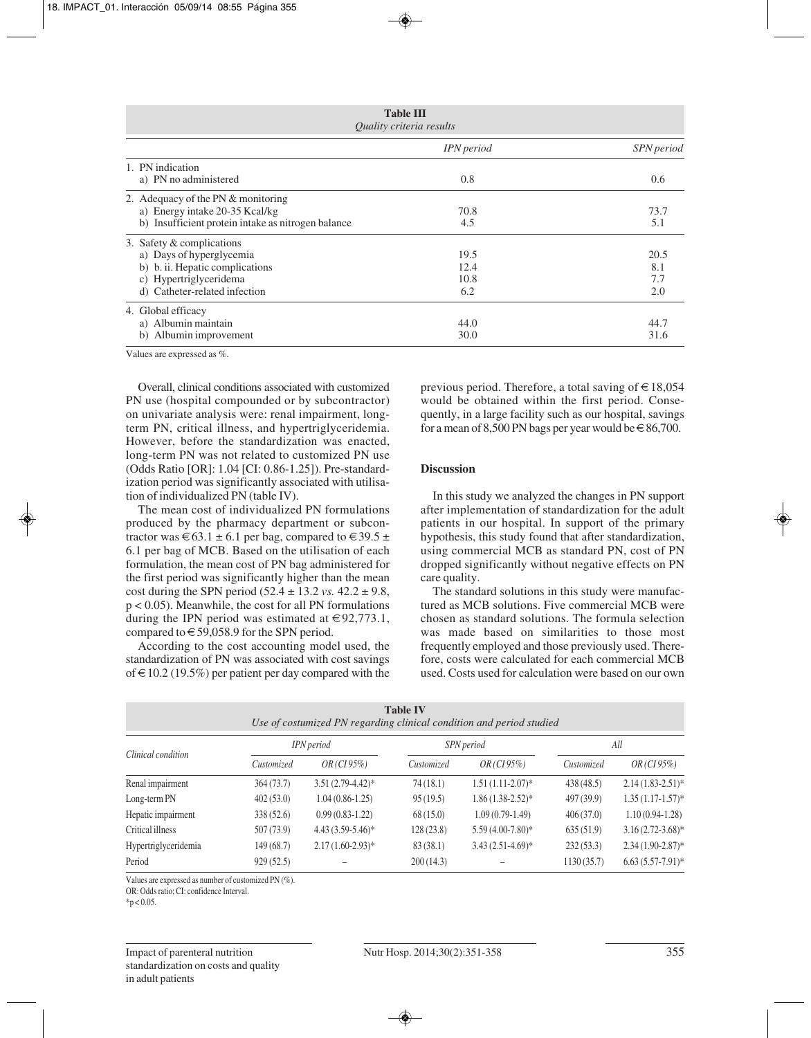| <b>Table III</b><br>Quality criteria results                                                                                                        |                             |                           |  |
|-----------------------------------------------------------------------------------------------------------------------------------------------------|-----------------------------|---------------------------|--|
|                                                                                                                                                     | IPN period                  | SPN period                |  |
| 1. PN indication<br>a) PN no administered                                                                                                           | 0.8                         | 0.6                       |  |
| 2. Adequacy of the PN & monitoring<br>a) Energy intake 20-35 Kcal/kg<br>b) Insufficient protein intake as nitrogen balance                          | 70.8<br>4.5                 | 73.7<br>5.1               |  |
| 3. Safety & complications<br>a) Days of hyperglycemia<br>b) b. ii. Hepatic complications<br>c) Hypertriglyceridema<br>d) Catheter-related infection | 19.5<br>12.4<br>10.8<br>6.2 | 20.5<br>8.1<br>7.7<br>2.0 |  |
| 4. Global efficacy<br>a) Albumin maintain<br>b) Albumin improvement                                                                                 | 44.0<br>30.0                | 44.7<br>31.6              |  |

Values are expressed as %.

Overall, clinical conditions associated with customized PN use (hospital compounded or by subcontractor) on univariate analysis were: renal impairment, longterm PN, critical illness, and hypertriglyceridemia. However, before the standardization was enacted, long-term PN was not related to customized PN use (Odds Ratio [OR]: 1.04 [CI: 0.86-1.25]). Pre-standardization period was significantly associated with utilisation of individualized PN (table IV).

The mean cost of individualized PN formulations produced by the pharmacy department or subcontractor was  $\in 63.1 \pm 6.1$  per bag, compared to  $\in 39.5 \pm 1$ 6.1 per bag of MCB. Based on the utilisation of each formulation, the mean cost of PN bag administered for the first period was significantly higher than the mean cost during the SPN period  $(52.4 \pm 13.2 \text{ vs. } 42.2 \pm 9.8,$ p < 0.05). Meanwhile, the cost for all PN formulations during the IPN period was estimated at  $\in$  92,773.1, compared to  $\in$  59,058.9 for the SPN period.

According to the cost accounting model used, the standardization of PN was associated with cost savings of  $\in$  10.2 (19.5%) per patient per day compared with the previous period. Therefore, a total saving of  $\in$  18,054 would be obtained within the first period. Consequently, in a large facility such as our hospital, savings for a mean of 8,500 PN bags per year would be  $\in$  86,700.

# **Discussion**

In this study we analyzed the changes in PN support after implementation of standardization for the adult patients in our hospital. In support of the primary hypothesis, this study found that after standardization, using commercial MCB as standard PN, cost of PN dropped significantly without negative effects on PN care quality.

The standard solutions in this study were manufactured as MCB solutions. Five commercial MCB were chosen as standard solutions. The formula selection was made based on similarities to those most frequently employed and those previously used. Therefore, costs were calculated for each commercial MCB used. Costs used for calculation were based on our own

| <b>Table IV</b><br>Use of costumized PN regarding clinical condition and period studied |            |                     |            |                     |            |                       |  |
|-----------------------------------------------------------------------------------------|------------|---------------------|------------|---------------------|------------|-----------------------|--|
| Clinical condition                                                                      |            | <b>IPN</b> period   |            | SPN period          |            | All                   |  |
|                                                                                         | Customized | $OR$ (CI 95%)       | Customized | $OR$ (CI 95%)       | Customized | $OR$ (CI 95%)         |  |
| Renal impairment                                                                        | 364(73.7)  | $3.51(2.79-4.42)^*$ | 74(18.1)   | $1.51(1.11-2.07)$ * | 438(48.5)  | $2.14(1.83 - 2.51)^*$ |  |
| Long-term PN                                                                            | 402(53.0)  | $1.04(0.86-1.25)$   | 95(19.5)   | $1.86(1.38-2.52)*$  | 497 (39.9) | $1.35(1.17-1.57)$ *   |  |
| Hepatic impairment                                                                      | 338(52.6)  | $0.99(0.83-1.22)$   | 68(15.0)   | $1.09(0.79-1.49)$   | 406(37.0)  | $1.10(0.94-1.28)$     |  |
| Critical illness                                                                        | 507 (73.9) | $4.43(3.59-5.46)$ * | 128(23.8)  | $5.59(4.00-7.80)$ * | 635(51.9)  | $3.16(2.72 - 3.68)$ * |  |
| Hypertriglyceridemia                                                                    | 149(68.7)  | $2.17(1.60-2.93)*$  | 83(38.1)   | $3.43(2.51-4.69)$ * | 232(53.3)  | $2.34(1.90-2.87)$ *   |  |
| Period                                                                                  | 929(52.5)  |                     | 200(14.3)  |                     | 1130(35.7) | $6.63(5.57-7.91)$ *   |  |

Values are expressed as number of customized PN (%).

OR: Odds ratio; CI: confidence Interval.

 $*p < 0.05$ .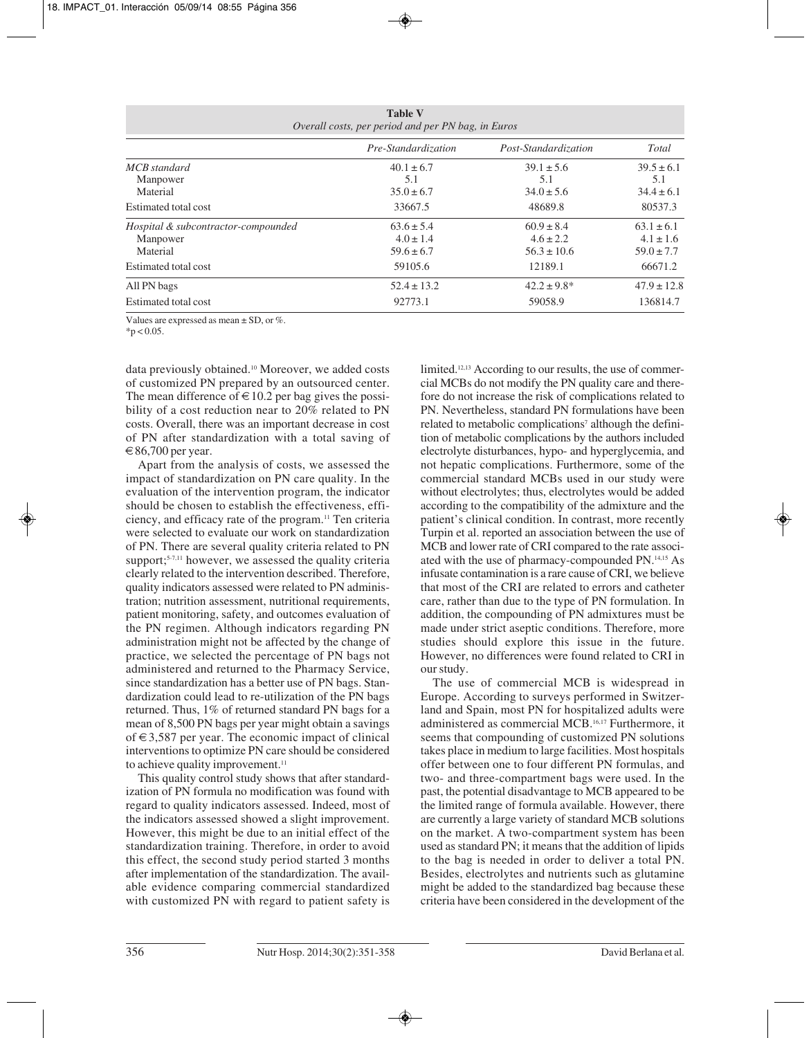| <b>Table V</b><br>Overall costs, per period and per PN bag, in Euros |                                                   |                                                    |                                                   |  |  |
|----------------------------------------------------------------------|---------------------------------------------------|----------------------------------------------------|---------------------------------------------------|--|--|
|                                                                      | Pre-Standardization                               | Post-Standardization                               | Total                                             |  |  |
| MCB standard<br>Manpower<br>Material                                 | $40.1 \pm 6.7$<br>5.1<br>$35.0 \pm 6.7$           | $39.1 \pm 5.6$<br>5.1<br>$34.0 \pm 5.6$            | $39.5 \pm 6.1$<br>5.1<br>$34.4 \pm 6.1$           |  |  |
| Estimated total cost                                                 | 33667.5                                           | 48689.8                                            | 80537.3                                           |  |  |
| Hospital & subcontractor-compounded<br>Manpower<br>Material          | $63.6 \pm 5.4$<br>$4.0 \pm 1.4$<br>$59.6 \pm 6.7$ | $60.9 \pm 8.4$<br>$4.6 \pm 2.2$<br>$56.3 \pm 10.6$ | $63.1 \pm 6.1$<br>$4.1 \pm 1.6$<br>$59.0 \pm 7.7$ |  |  |
| Estimated total cost                                                 | 59105.6                                           | 12189.1                                            | 66671.2                                           |  |  |
| All PN bags<br>Estimated total cost                                  | $52.4 \pm 13.2$<br>92773.1                        | $42.2 \pm 9.8^*$<br>59058.9                        | $47.9 \pm 12.8$<br>136814.7                       |  |  |

**Table V**

Values are expressed as mean  $\pm$  SD, or %.

 $*p < 0.05$ .

data previously obtained.10 Moreover, we added costs of customized PN prepared by an outsourced center. The mean difference of  $\in$  10.2 per bag gives the possibility of a cost reduction near to 20% related to PN costs. Overall, there was an important decrease in cost of PN after standardization with a total saving of  $\epsilon$ 86,700 per year.

Apart from the analysis of costs, we assessed the impact of standardization on PN care quality. In the evaluation of the intervention program, the indicator should be chosen to establish the effectiveness, efficiency, and efficacy rate of the program.11 Ten criteria were selected to evaluate our work on standardization of PN. There are several quality criteria related to PN support;<sup>5-7,11</sup> however, we assessed the quality criteria clearly related to the intervention described. Therefore, quality indicators assessed were related to PN administration; nutrition assessment, nutritional requirements, patient monitoring, safety, and outcomes evaluation of the PN regimen. Although indicators regarding PN administration might not be affected by the change of practice, we selected the percentage of PN bags not administered and returned to the Pharmacy Service, since standardization has a better use of PN bags. Standardization could lead to re-utilization of the PN bags returned. Thus, 1% of returned standard PN bags for a mean of 8,500 PN bags per year might obtain a savings of  $\in$  3,587 per year. The economic impact of clinical interventions to optimize PN care should be considered to achieve quality improvement.<sup>11</sup>

This quality control study shows that after standardization of PN formula no modification was found with regard to quality indicators assessed. Indeed, most of the indicators assessed showed a slight improvement. However, this might be due to an initial effect of the standardization training. Therefore, in order to avoid this effect, the second study period started 3 months after implementation of the standardization. The available evidence comparing commercial standardized with customized PN with regard to patient safety is limited.12,13 According to our results, the use of commercial MCBs do not modify the PN quality care and therefore do not increase the risk of complications related to PN. Nevertheless, standard PN formulations have been related to metabolic complications<sup>7</sup> although the definition of metabolic complications by the authors included electrolyte disturbances, hypo- and hyperglycemia, and not hepatic complications. Furthermore, some of the commercial standard MCBs used in our study were without electrolytes; thus, electrolytes would be added according to the compatibility of the admixture and the patient's clinical condition. In contrast, more recently Turpin et al. reported an association between the use of MCB and lower rate of CRI compared to the rate associated with the use of pharmacy-compounded PN.14,15 As infusate contamination is a rare cause of CRI, we believe that most of the CRI are related to errors and catheter care, rather than due to the type of PN formulation. In addition, the compounding of PN admixtures must be made under strict aseptic conditions. Therefore, more studies should explore this issue in the future. However, no differences were found related to CRI in our study.

The use of commercial MCB is widespread in Europe. According to surveys performed in Switzerland and Spain, most PN for hospitalized adults were administered as commercial MCB.16,17 Furthermore, it seems that compounding of customized PN solutions takes place in medium to large facilities. Most hospitals offer between one to four different PN formulas, and two- and three-compartment bags were used. In the past, the potential disadvantage to MCB appeared to be the limited range of formula available. However, there are currently a large variety of standard MCB solutions on the market. A two-compartment system has been used as standard PN; it means that the addition of lipids to the bag is needed in order to deliver a total PN. Besides, electrolytes and nutrients such as glutamine might be added to the standardized bag because these criteria have been considered in the development of the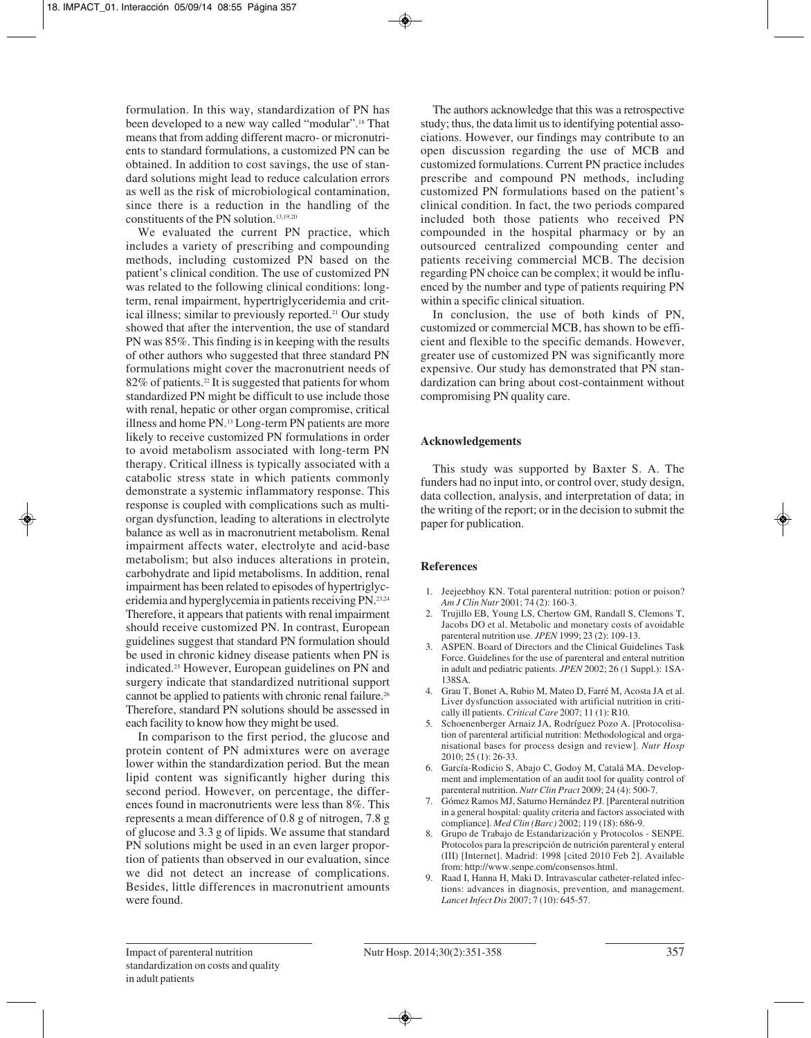formulation. In this way, standardization of PN has been developed to a new way called "modular".18 That means that from adding different macro- or micronutrients to standard formulations, a customized PN can be obtained. In addition to cost savings, the use of standard solutions might lead to reduce calculation errors as well as the risk of microbiological contamination, since there is a reduction in the handling of the constituents of the PN solution.13,19,20

We evaluated the current PN practice, which includes a variety of prescribing and compounding methods, including customized PN based on the patient's clinical condition. The use of customized PN was related to the following clinical conditions: longterm, renal impairment, hypertriglyceridemia and critical illness; similar to previously reported.<sup>21</sup> Our study showed that after the intervention, the use of standard PN was 85%. This finding is in keeping with the results of other authors who suggested that three standard PN formulations might cover the macronutrient needs of 82% of patients.<sup>22</sup> It is suggested that patients for whom standardized PN might be difficult to use include those with renal, hepatic or other organ compromise, critical illness and home PN.13 Long-term PN patients are more likely to receive customized PN formulations in order to avoid metabolism associated with long-term PN therapy. Critical illness is typically associated with a catabolic stress state in which patients commonly demonstrate a systemic inflammatory response. This response is coupled with complications such as multiorgan dysfunction, leading to alterations in electrolyte balance as well as in macronutrient metabolism. Renal impairment affects water, electrolyte and acid-base metabolism; but also induces alterations in protein, carbohydrate and lipid metabolisms. In addition, renal impairment has been related to episodes of hypertriglyceridemia and hyperglycemia in patients receiving PN.23,24 Therefore, it appears that patients with renal impairment should receive customized PN. In contrast, European guidelines suggest that standard PN formulation should be used in chronic kidney disease patients when PN is indicated.25 However, European guidelines on PN and surgery indicate that standardized nutritional support cannot be applied to patients with chronic renal failure.26 Therefore, standard PN solutions should be assessed in each facility to know how they might be used.

In comparison to the first period, the glucose and protein content of PN admixtures were on average lower within the standardization period. But the mean lipid content was significantly higher during this second period. However, on percentage, the differences found in macronutrients were less than 8%. This represents a mean difference of 0.8 g of nitrogen, 7.8 g of glucose and 3.3 g of lipids. We assume that standard PN solutions might be used in an even larger proportion of patients than observed in our evaluation, since we did not detect an increase of complications. Besides, little differences in macronutrient amounts were found.

The authors acknowledge that this was a retrospective study; thus, the data limit us to identifying potential associations. However, our findings may contribute to an open discussion regarding the use of MCB and customized formulations. Current PN practice includes prescribe and compound PN methods, including customized PN formulations based on the patient's clinical condition. In fact, the two periods compared included both those patients who received PN compounded in the hospital pharmacy or by an outsourced centralized compounding center and patients receiving commercial MCB. The decision regarding PN choice can be complex; it would be influenced by the number and type of patients requiring PN within a specific clinical situation.

In conclusion, the use of both kinds of PN. customized or commercial MCB, has shown to be efficient and flexible to the specific demands. However, greater use of customized PN was significantly more expensive. Our study has demonstrated that PN standardization can bring about cost-containment without compromising PN quality care.

# **Acknowledgements**

This study was supported by Baxter S. A. The funders had no input into, or control over, study design, data collection, analysis, and interpretation of data; in the writing of the report; or in the decision to submit the paper for publication.

## **References**

- 1. Jeejeebhoy KN. Total parenteral nutrition: potion or poison? *Am J Clin Nutr* 2001; 74 (2): 160-3.
- 2. Trujillo EB, Young LS, Chertow GM, Randall S, Clemons T, Jacobs DO et al. Metabolic and monetary costs of avoidable parenteral nutrition use. *JPEN* 1999; 23 (2): 109-13.
- 3. ASPEN. Board of Directors and the Clinical Guidelines Task Force. Guidelines for the use of parenteral and enteral nutrition in adult and pediatric patients. *JPEN* 2002; 26 (1 Suppl.): 1SA-138SA.
- 4. Grau T, Bonet A, Rubio M, Mateo D, Farré M, Acosta JA et al. Liver dysfunction associated with artificial nutrition in critically ill patients. *Critical Care* 2007; 11 (1): R10.
- 5. Schoenenberger Arnaiz JA, Rodríguez Pozo A. [Protocolisation of parenteral artificial nutrition: Methodological and organisational bases for process design and review]. *Nutr Hosp* 2010; 25 (1): 26-33.
- 6. García-Rodicio S, Abajo C, Godoy M, Catalá MA. Development and implementation of an audit tool for quality control of parenteral nutrition. *Nutr Clin Pract* 2009; 24 (4): 500-7.
- 7. Gómez Ramos MJ, Saturno Hernández PJ. [Parenteral nutrition in a general hospital: quality criteria and factors associated with compliance]. *Med Clin (Barc)* 2002; 119 (18): 686-9.
- 8. Grupo de Trabajo de Estandarización y Protocolos SENPE. Protocolos para la prescripción de nutrición parenteral y enteral (III) [Internet]. Madrid: 1998 [cited 2010 Feb 2]. Available from: http://www.senpe.com/consensos.html.
- 9. Raad I, Hanna H, Maki D. Intravascular catheter-related infections: advances in diagnosis, prevention, and management. *Lancet Infect Dis* 2007; 7 (10): 645-57.